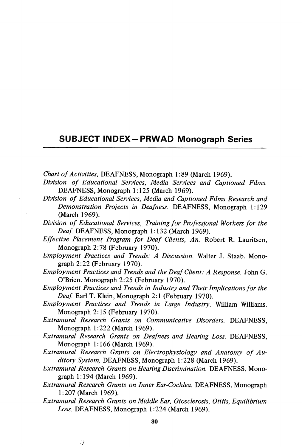## SUBJECT INDEX-PRWAD Monograph Series

Chart of Activities, DEAFNESS, Monograph 1:89 (March 1969).

- Division of Educational Services, Media Services and Captioned Films. DEAFNESS, Monograph 1:125 (March 1969).
- Division of Educational Services, Media and Captioned Films Research and Demonstration Projects in Deafness. DEAFNESS, Monograph 1:129 (March 1969).
- Division of Educational Services, Training for Professional Workers for the Deaf. DEAFNESS, Monograph 1:132 (March 1969).
- Effective Placement Program for Deaf Clients, An. Robert R. Lauritsen, Monograph 2:78 (February 1970).
- Employment Practices and Trends: A Discussion. Walter J. Staab. Mono graph 2:22 (February 1970).
- Employment Practices and Trends and the Deaf Client: A Response. John G. O'Brien. Monograph 2:25 (February 1970).
- Employment Practices and Trends in Industry and Their Implications for the Deaf. Earl T. Klein, Monograph 2:1 (February 1970).
- Employment Practices and Trends in Large Industry. William Williams. Monograph 2:15 (February 1970).
- Extramural Research Grants on Communicative Disorders. DEAFNESS, Monograph 1:222 (March 1969).
- Extramural Research Grants on Deafness and Hearing Loss. DEAFNESS, Monograph 1:166 (March 1969).
- Extramural Research Grants on Electrophysiology and Anatomy of Au ditory System. DEAFNESS, Monograph 1:228 (March 1969).
- Extramural Research Grants on Hearing Discrimination. DEAFNESS, Mono graph 1:194 (March 1969).
- Extramural Research Grants on Inner Ear-Cochlea. DEAFNESS, Monograph 1:207 (March 1969).
- Extramural Research Grants on Middle Ear, Qtosclerosis, Otitis, Equilibrium Loss. DEAFNESS, Monograph 1:224 (March 1969).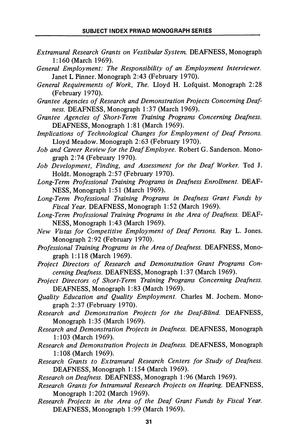- Extramural Research Grants on Vestibular System. DEAFNESS, Monograph 1:160 (March 1969).
- General Employment: The Responsibility of an Employment Interviewer. Janet L Pinner. Monograph 2:43 (February 1970).
- General Requirements of Work, The. Lloyd H. Lofquist. Monograph 2:28 (February 1970).
- Grantee Agencies of Research and Demonstration Projects Concerning Deaf ness. DEAFNESS, Monograph 1:37 (March 1969).
- Grantee Agencies of Short-Term Training Programs Concerning Deafness. DEAFNESS, Monograph 1:81 (March 1969).
- Implications of Technological Changes for Employment of Deaf Persons. Lloyd Meadow. Monograph 2:63 (February 1970).
- Job and Career Review for the Deaf Employee. Robert G. Sanderson. Monograph 2:74 (February 1970).
- Job Development, Finding, and Assessment for the Deaf Worker. Ted J. Holdt. Monograph 2:57 (February 1970).
- Long-Term Professional Training Programs in Deafness Enrollment. DEAF NESS, Monograph 1:51 (March 1969).
- Long-Term Professional Training Programs in Deafness Grant Funds by Fiscal Year. DEAFNESS, Monograph 1:52 (March 1969).
- Long-Term Professional Training Programs in the Area of Deafness. DEAF NESS, Monograph 1:43 (March 1969).
- New Vistas for Competitive Employment of Deaf Persons. Ray L. Jones. Monograph 2:92 (February 1970).
- Professional Training Programs in the Area of Deafness. DEAFNESS, Monograph 1:118 (March 1969).
- Project Directors of Research and Demonstration Grant Programs Con cerning Deafness. DEAFNESS, Monograph 1:37 (March 1969).
- Project Directors of Short-Term Training Programs Concerning Deafness. DEAFNESS, Monograph 1:83 (March 1969).
- Quality Education and Quality Employment. Charles M. Jochem. Monograph 2:37 (February 1970).
- Research and Demonstration Projects for the Deaf-Blind. DEAFNESS, Monograph 1:35 (March 1969).
- Research and Demonstration Projects in Deafness. DEAFNESS, Monograph 1:103 (March 1969).
- Research and Demonstration Projects in Deafness. DEAFNESS, Monograph 1:108 (March 1969).
- Research Grants to Extramural Research Centers for Study of Deafness. DEAFNESS, Monograph 1:154 (March 1969).
- Research on Deafness. DEAFNESS, Monograph 1:96 (March 1969).
- Research Grants for Intramural Research Projects on Hearing. DEAFNESS, Monograph 1:202 (March 1969).
- Research Projects in the Area of the Deaf Grant Funds by Fiscal Year. DEAFNESS, Monograph 1:99 (March 1969).